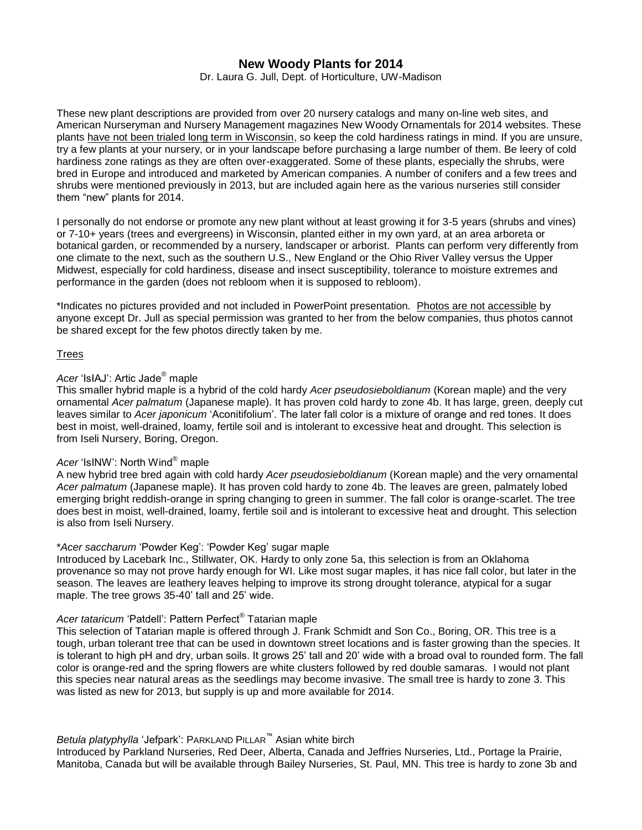# **New Woody Plants for 2014**

#### Dr. Laura G. Jull, Dept. of Horticulture, UW-Madison

These new plant descriptions are provided from over 20 nursery catalogs and many on-line web sites, and American Nurseryman and Nursery Management magazines New Woody Ornamentals for 2014 websites. These plants have not been trialed long term in Wisconsin, so keep the cold hardiness ratings in mind. If you are unsure, try a few plants at your nursery, or in your landscape before purchasing a large number of them. Be leery of cold hardiness zone ratings as they are often over-exaggerated. Some of these plants, especially the shrubs, were bred in Europe and introduced and marketed by American companies. A number of conifers and a few trees and shrubs were mentioned previously in 2013, but are included again here as the various nurseries still consider them "new" plants for 2014.

I personally do not endorse or promote any new plant without at least growing it for 3-5 years (shrubs and vines) or 7-10+ years (trees and evergreens) in Wisconsin, planted either in my own yard, at an area arboreta or botanical garden, or recommended by a nursery, landscaper or arborist. Plants can perform very differently from one climate to the next, such as the southern U.S., New England or the Ohio River Valley versus the Upper Midwest, especially for cold hardiness, disease and insect susceptibility, tolerance to moisture extremes and performance in the garden (does not rebloom when it is supposed to rebloom).

\*Indicates no pictures provided and not included in PowerPoint presentation. Photos are not accessible by anyone except Dr. Jull as special permission was granted to her from the below companies, thus photos cannot be shared except for the few photos directly taken by me.

### **Trees**

#### *Acer* 'IsIAJ': Artic Jade® maple

This smaller hybrid maple is a hybrid of the cold hardy *Acer pseudosieboldianum* (Korean maple) and the very ornamental *Acer palmatum* (Japanese maple). It has proven cold hardy to zone 4b. It has large, green, deeply cut leaves similar to *Acer japonicum* 'Aconitifolium'. The later fall color is a mixture of orange and red tones. It does best in moist, well-drained, loamy, fertile soil and is intolerant to excessive heat and drought. This selection is from Iseli Nursery, Boring, Oregon.

### *Acer* 'IsINW': North Wind® maple

A new hybrid tree bred again with cold hardy *Acer pseudosieboldianum* (Korean maple) and the very ornamental *Acer palmatum* (Japanese maple). It has proven cold hardy to zone 4b. The leaves are green, palmately lobed emerging bright reddish-orange in spring changing to green in summer. The fall color is orange-scarlet. The tree does best in moist, well-drained, loamy, fertile soil and is intolerant to excessive heat and drought. This selection is also from Iseli Nursery.

#### \**Acer saccharum* 'Powder Keg': 'Powder Keg' sugar maple

Introduced by Lacebark Inc., Stillwater, OK. Hardy to only zone 5a, this selection is from an Oklahoma provenance so may not prove hardy enough for WI. Like most sugar maples, it has nice fall color, but later in the season. The leaves are leathery leaves helping to improve its strong drought tolerance, atypical for a sugar maple. The tree grows 35-40' tall and 25' wide.

### *Acer tataricum* 'Patdell': Pattern Perfect® Tatarian maple

This selection of Tatarian maple is offered through J. Frank Schmidt and Son Co., Boring, OR. This tree is a tough, urban tolerant tree that can be used in downtown street locations and is faster growing than the species. It is tolerant to high pH and dry, urban soils. It grows 25' tall and 20' wide with a broad oval to rounded form. The fall color is orange-red and the spring flowers are white clusters followed by red double samaras. I would not plant this species near natural areas as the seedlings may become invasive. The small tree is hardy to zone 3. This was listed as new for 2013, but supply is up and more available for 2014.

## *Betula platyphylla* 'Jefpark': PARKLAND PILLAR™ Asian white birch

Introduced by Parkland Nurseries, Red Deer, Alberta, Canada and Jeffries Nurseries, Ltd., Portage la Prairie, Manitoba, Canada but will be available through Bailey Nurseries, St. Paul, MN. This tree is hardy to zone 3b and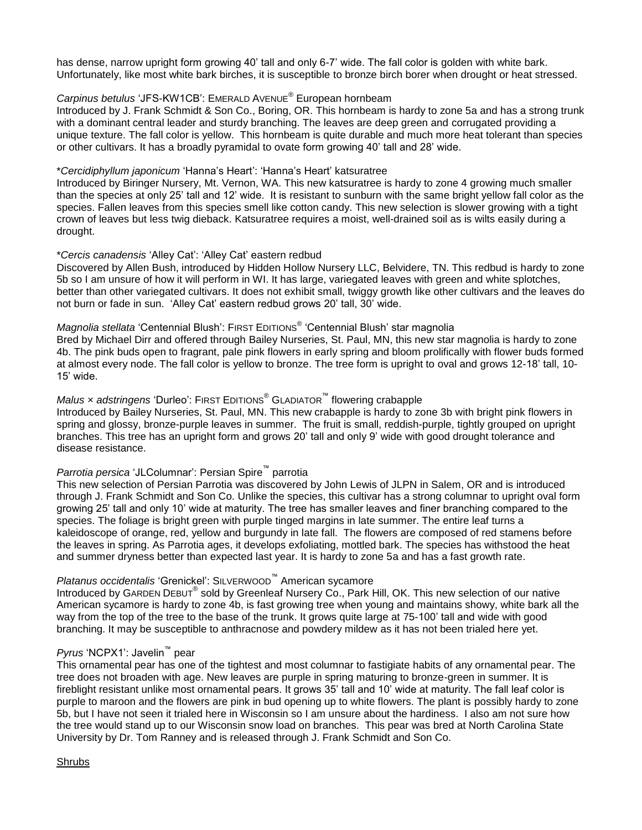has dense, narrow upright form growing 40' tall and only 6-7' wide. The fall color is golden with white bark. Unfortunately, like most white bark birches, it is susceptible to bronze birch borer when drought or heat stressed.

## *Carpinus betulus* 'JFS-KW1CB': EMERALD AVENUE® European hornbeam

Introduced by J. Frank Schmidt & Son Co., Boring, OR. This hornbeam is hardy to zone 5a and has a strong trunk with a dominant central leader and sturdy branching. The leaves are deep green and corrugated providing a unique texture. The fall color is yellow. This hornbeam is quite durable and much more heat tolerant than species or other cultivars. It has a broadly pyramidal to ovate form growing 40' tall and 28' wide.

### \**Cercidiphyllum japonicum* 'Hanna's Heart': 'Hanna's Heart' katsuratree

Introduced by Biringer Nursery, Mt. Vernon, WA. This new katsuratree is hardy to zone 4 growing much smaller than the species at only 25' tall and 12' wide. It is resistant to sunburn with the same bright yellow fall color as the species. Fallen leaves from this species smell like cotton candy. This new selection is slower growing with a tight crown of leaves but less twig dieback. Katsuratree requires a moist, well-drained soil as is wilts easily during a drought.

### \**Cercis canadensis* 'Alley Cat': 'Alley Cat' eastern redbud

Discovered by Allen Bush, introduced by Hidden Hollow Nursery LLC, Belvidere, TN. This redbud is hardy to zone 5b so I am unsure of how it will perform in WI. It has large, variegated leaves with green and white splotches, better than other variegated cultivars. It does not exhibit small, twiggy growth like other cultivars and the leaves do not burn or fade in sun. 'Alley Cat' eastern redbud grows 20' tall, 30' wide.

# *Magnolia stellata* 'Centennial Blush': FIRST EDITIONS® 'Centennial Blush' star magnolia

Bred by Michael Dirr and offered through Bailey Nurseries, St. Paul, MN, this new star magnolia is hardy to zone 4b. The pink buds open to fragrant, pale pink flowers in early spring and bloom prolifically with flower buds formed at almost every node. The fall color is yellow to bronze. The tree form is upright to oval and grows 12-18' tall, 10- 15' wide.

# *Malus* × *adstringens* 'Durleo': FIRST EDITIONS® GLADIATOR™ flowering crabapple

Introduced by Bailey Nurseries, St. Paul, MN. This new crabapple is hardy to zone 3b with bright pink flowers in spring and glossy, bronze-purple leaves in summer. The fruit is small, reddish-purple, tightly grouped on upright branches. This tree has an upright form and grows 20' tall and only 9' wide with good drought tolerance and disease resistance.

## *Parrotia persica* 'JLColumnar': Persian Spire™ parrotia

This new selection of Persian Parrotia was discovered by John Lewis of JLPN in Salem, OR and is introduced through J. Frank Schmidt and Son Co. Unlike the species, this cultivar has a strong columnar to upright oval form growing 25' tall and only 10' wide at maturity. The tree has smaller leaves and finer branching compared to the species. The foliage is bright green with purple tinged margins in late summer. The entire leaf turns a kaleidoscope of orange, red, yellow and burgundy in late fall. The flowers are composed of red stamens before the leaves in spring. As Parrotia ages, it develops exfoliating, mottled bark. The species has withstood the heat and summer dryness better than expected last year. It is hardy to zone 5a and has a fast growth rate.

### *Platanus occidentalis* 'Grenickel': SILVERWOOD™ American sycamore

Introduced by GARDEN DEBUT® sold by Greenleaf Nursery Co., Park Hill, OK. This new selection of our native American sycamore is hardy to zone 4b, is fast growing tree when young and maintains showy, white bark all the way from the top of the tree to the base of the trunk. It grows quite large at 75-100' tall and wide with good branching. It may be susceptible to anthracnose and powdery mildew as it has not been trialed here yet.

## *Pyrus* 'NCPX1': Javelin™ pear

This ornamental pear has one of the tightest and most columnar to fastigiate habits of any ornamental pear. The tree does not broaden with age. New leaves are purple in spring maturing to bronze-green in summer. It is fireblight resistant unlike most ornamental pears. It grows 35' tall and 10' wide at maturity. The fall leaf color is purple to maroon and the flowers are pink in bud opening up to white flowers. The plant is possibly hardy to zone 5b, but I have not seen it trialed here in Wisconsin so I am unsure about the hardiness. I also am not sure how the tree would stand up to our Wisconsin snow load on branches. This pear was bred at North Carolina State University by Dr. Tom Ranney and is released through J. Frank Schmidt and Son Co.

Shrubs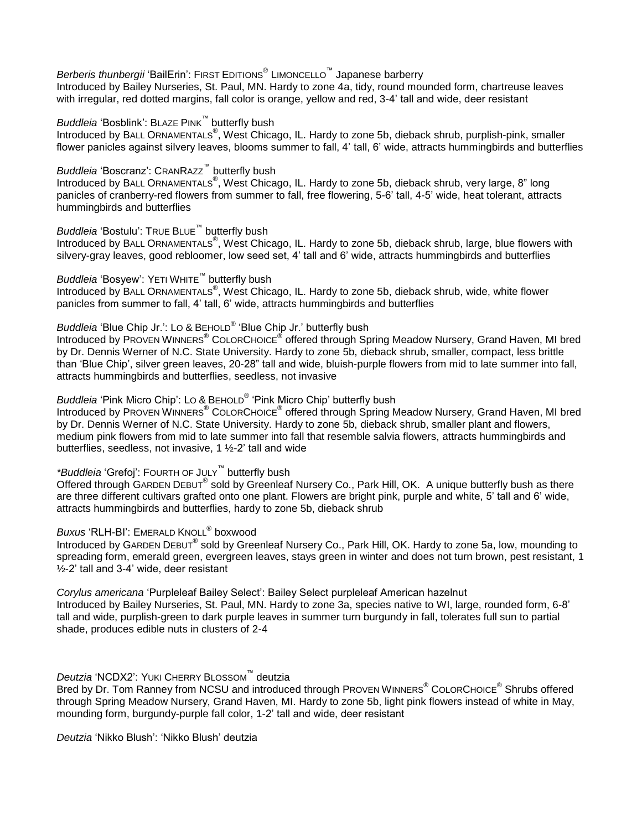*Berberis thunbergii* 'BailErin': FIRST EDITIONS® LIMONCELLO™ Japanese barberry Introduced by Bailey Nurseries, St. Paul, MN. Hardy to zone 4a, tidy, round mounded form, chartreuse leaves with irregular, red dotted margins, fall color is orange, yellow and red, 3-4' tall and wide, deer resistant

## *Buddleia* 'Bosblink': BLAZE PINK™ butterfly bush

Introduced by BALL ORNAMENTALS<sup>®</sup>, West Chicago, IL. Hardy to zone 5b, dieback shrub, purplish-pink, smaller flower panicles against silvery leaves, blooms summer to fall, 4' tall, 6' wide, attracts hummingbirds and butterflies

## *Buddleia* 'Boscranz': CRANRAZZ™ butterfly bush

Introduced by BALL ORNAMENTALS®, West Chicago, IL. Hardy to zone 5b, dieback shrub, very large, 8" long panicles of cranberry-red flowers from summer to fall, free flowering, 5-6' tall, 4-5' wide, heat tolerant, attracts hummingbirds and butterflies

## *Buddleia* 'Bostulu': TRUE BLUE™ butterfly bush

Introduced by BALL ORNAMENTALS<sup>®</sup>, West Chicago, IL. Hardy to zone 5b, dieback shrub, large, blue flowers with silvery-gray leaves, good rebloomer, low seed set, 4' tall and 6' wide, attracts hummingbirds and butterflies

## *Buddleia* 'Bosyew': YETI WHITE™ butterfly bush

Introduced by BALL ORNAMENTALS®, West Chicago, IL. Hardy to zone 5b, dieback shrub, wide, white flower panicles from summer to fall, 4' tall, 6' wide, attracts hummingbirds and butterflies

# Buddleia 'Blue Chip Jr.': Lo & BEHOLD<sup>®</sup> 'Blue Chip Jr.' butterfly bush

Introduced by PROVEN WINNERS® COLORCHOICE<sup>®</sup> offered through Spring Meadow Nursery, Grand Haven, MI bred by Dr. Dennis Werner of N.C. State University. Hardy to zone 5b, dieback shrub, smaller, compact, less brittle than 'Blue Chip', silver green leaves, 20-28" tall and wide, bluish-purple flowers from mid to late summer into fall, attracts hummingbirds and butterflies, seedless, not invasive

# *Buddleia* 'Pink Micro Chip': LO & BEHOLD® 'Pink Micro Chip' butterfly bush

Introduced by PROVEN WINNERS® COLORCHOICE® offered through Spring Meadow Nursery, Grand Haven, MI bred by Dr. Dennis Werner of N.C. State University. Hardy to zone 5b, dieback shrub, smaller plant and flowers, medium pink flowers from mid to late summer into fall that resemble salvia flowers, attracts hummingbirds and butterflies, seedless, not invasive, 1 ½-2' tall and wide

# *\*Buddleia* 'Grefoj': FOURTH OF JULY™ butterfly bush

Offered through GARDEN DEBUT® sold by Greenleaf Nursery Co., Park Hill, OK. A unique butterfly bush as there are three different cultivars grafted onto one plant. Flowers are bright pink, purple and white, 5' tall and 6' wide, attracts hummingbirds and butterflies, hardy to zone 5b, dieback shrub

### *Buxus* 'RLH-BI': EMERALD KNOLL® boxwood

Introduced by GARDEN DEBUT® sold by Greenleaf Nursery Co., Park Hill, OK. Hardy to zone 5a, low, mounding to spreading form, emerald green, evergreen leaves, stays green in winter and does not turn brown, pest resistant, 1 ½-2' tall and 3-4' wide, deer resistant

### *Corylus americana* 'Purpleleaf Bailey Select': Bailey Select purpleleaf American hazelnut

Introduced by Bailey Nurseries, St. Paul, MN. Hardy to zone 3a, species native to WI, large, rounded form, 6-8' tall and wide, purplish-green to dark purple leaves in summer turn burgundy in fall, tolerates full sun to partial shade, produces edible nuts in clusters of 2-4

## *Deutzia* 'NCDX2': YUKI CHERRY BLOSSOM™ deutzia

Bred by Dr. Tom Ranney from NCSU and introduced through PROVEN WINNERS® COLORCHOICE® Shrubs offered through Spring Meadow Nursery, Grand Haven, MI. Hardy to zone 5b, light pink flowers instead of white in May, mounding form, burgundy-purple fall color, 1-2' tall and wide, deer resistant

*Deutzia* 'Nikko Blush': 'Nikko Blush' deutzia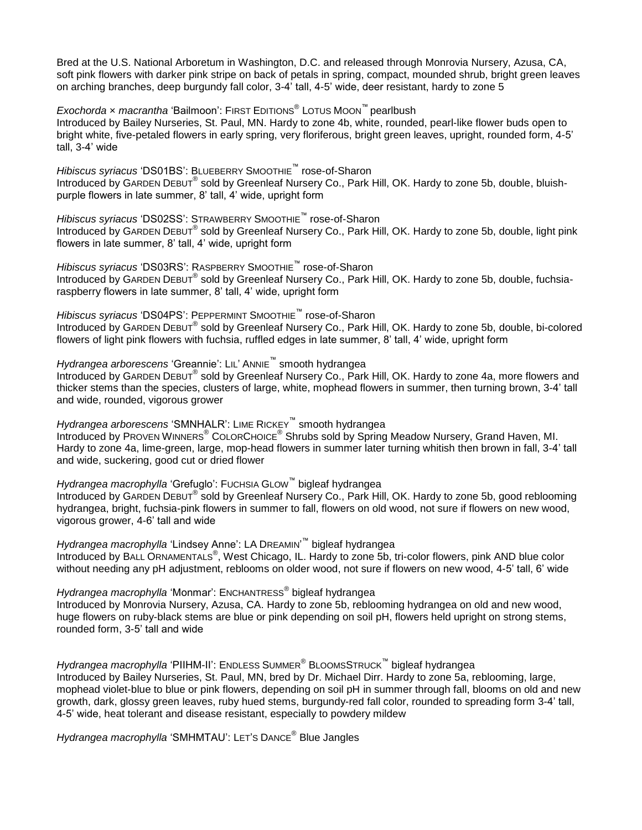Bred at the U.S. National Arboretum in Washington, D.C. and released through Monrovia Nursery, Azusa, CA, soft pink flowers with darker pink stripe on back of petals in spring, compact, mounded shrub, bright green leaves on arching branches, deep burgundy fall color, 3-4' tall, 4-5' wide, deer resistant, hardy to zone 5

*Exochorda* × *macrantha* 'Bailmoon': FIRST EDITIONS® LOTUS MOON™ pearlbush Introduced by Bailey Nurseries, St. Paul, MN. Hardy to zone 4b, white, rounded, pearl-like flower buds open to bright white, five-petaled flowers in early spring, very floriferous, bright green leaves, upright, rounded form, 4-5' tall, 3-4' wide

*Hibiscus syriacus* 'DS01BS': BLUEBERRY SMOOTHIE™ rose-of-Sharon Introduced by GARDEN DEBUT® sold by Greenleaf Nursery Co., Park Hill, OK. Hardy to zone 5b, double, bluishpurple flowers in late summer, 8' tall, 4' wide, upright form

*Hibiscus syriacus* 'DS02SS': STRAWBERRY SMOOTHIE™ rose-of-Sharon Introduced by GARDEN DEBUT® sold by Greenleaf Nursery Co., Park Hill, OK. Hardy to zone 5b, double, light pink flowers in late summer, 8' tall, 4' wide, upright form

*Hibiscus syriacus* 'DS03RS': RASPBERRY SMOOTHIE™ rose-of-Sharon Introduced by GARDEN DEBUT® sold by Greenleaf Nursery Co., Park Hill, OK. Hardy to zone 5b, double, fuchsiaraspberry flowers in late summer, 8' tall, 4' wide, upright form

*Hibiscus syriacus* 'DS04PS': PEPPERMINT SMOOTHIE™ rose-of-Sharon Introduced by GARDEN DEBUT® sold by Greenleaf Nursery Co., Park Hill, OK. Hardy to zone 5b, double, bi-colored flowers of light pink flowers with fuchsia, ruffled edges in late summer, 8' tall, 4' wide, upright form

*Hydrangea arborescens* 'Greannie': LIL' ANNIE™ smooth hydrangea Introduced by GARDEN DEBUT® sold by Greenleaf Nursery Co., Park Hill, OK. Hardy to zone 4a, more flowers and thicker stems than the species, clusters of large, white, mophead flowers in summer, then turning brown, 3-4' tall and wide, rounded, vigorous grower

*Hydrangea arborescens* 'SMNHALR': LIME RICKEY™ smooth hydrangea Introduced by PROVEN WINNERS® COLORCHOICE® Shrubs sold by Spring Meadow Nursery, Grand Haven, MI. Hardy to zone 4a, lime-green, large, mop-head flowers in summer later turning whitish then brown in fall, 3-4' tall and wide, suckering, good cut or dried flower

*Hydrangea macrophylla* 'Grefuglo': FUCHSIA GLOW™ bigleaf hydrangea Introduced by GARDEN DEBUT® sold by Greenleaf Nursery Co., Park Hill, OK. Hardy to zone 5b, good reblooming hydrangea, bright, fuchsia-pink flowers in summer to fall, flowers on old wood, not sure if flowers on new wood, vigorous grower, 4-6' tall and wide

*Hydrangea macrophylla* 'Lindsey Anne': LA DREAMIN' ™ bigleaf hydrangea Introduced by BALL ORNAMENTALS<sup>®</sup>, West Chicago, IL. Hardy to zone 5b, tri-color flowers, pink AND blue color without needing any pH adjustment, reblooms on older wood, not sure if flowers on new wood, 4-5' tall, 6' wide

Hydrangea macrophylla 'Monmar': ENCHANTRESS<sup>®</sup> bigleaf hydrangea Introduced by Monrovia Nursery, Azusa, CA. Hardy to zone 5b, reblooming hydrangea on old and new wood, huge flowers on ruby-black stems are blue or pink depending on soil pH, flowers held upright on strong stems, rounded form, 3-5' tall and wide

*Hydrangea macrophylla* 'PIIHM-II': ENDLESS SUMMER® BLOOMSSTRUCK™ bigleaf hydrangea Introduced by Bailey Nurseries, St. Paul, MN, bred by Dr. Michael Dirr. Hardy to zone 5a, reblooming, large, mophead violet-blue to blue or pink flowers, depending on soil pH in summer through fall, blooms on old and new growth, dark, glossy green leaves, ruby hued stems, burgundy-red fall color, rounded to spreading form 3-4' tall, 4-5' wide, heat tolerant and disease resistant, especially to powdery mildew

*Hydrangea macrophylla* 'SMHMTAU': LET'S DANCE® Blue Jangles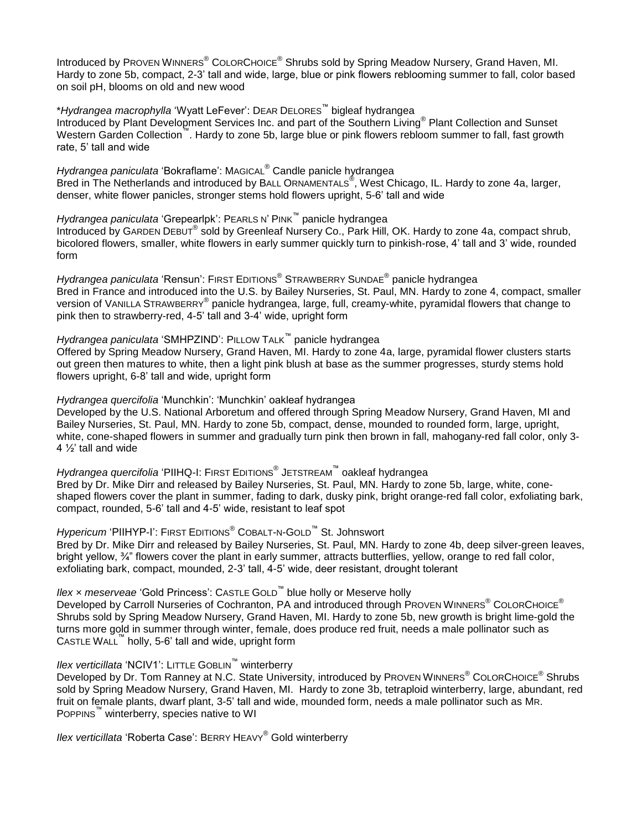Introduced by PROVEN WINNERS® COLORCHOICE® Shrubs sold by Spring Meadow Nursery, Grand Haven, MI. Hardy to zone 5b, compact, 2-3' tall and wide, large, blue or pink flowers reblooming summer to fall, color based on soil pH, blooms on old and new wood

\**Hydrangea macrophylla* 'Wyatt LeFever': DEAR DELORES™ bigleaf hydrangea Introduced by Plant Development Services Inc. and part of the Southern Living<sup>®</sup> Plant Collection and Sunset Western Garden Collection™. Hardy to zone 5b, large blue or pink flowers rebloom summer to fall, fast growth rate, 5' tall and wide

*Hydrangea paniculata* 'Bokraflame': MAGICAL® Candle panicle hydrangea Bred in The Netherlands and introduced by BALL ORNAMENTALS®, West Chicago, IL. Hardy to zone 4a, larger, denser, white flower panicles, stronger stems hold flowers upright, 5-6' tall and wide

*Hydrangea paniculata* 'Grepearlpk': PEARLS N' PINK™ panicle hydrangea Introduced by GARDEN DEBUT® sold by Greenleaf Nursery Co., Park Hill, OK. Hardy to zone 4a, compact shrub, bicolored flowers, smaller, white flowers in early summer quickly turn to pinkish-rose, 4' tall and 3' wide, rounded form

*Hydrangea paniculata* 'Rensun': FIRST EDITIONS® STRAWBERRY SUNDAE® panicle hydrangea Bred in France and introduced into the U.S. by Bailey Nurseries, St. Paul, MN. Hardy to zone 4, compact, smaller version of VANILLA STRAWBERRY® panicle hydrangea, large, full, creamy-white, pyramidal flowers that change to pink then to strawberry-red, 4-5' tall and 3-4' wide, upright form

## *Hydrangea paniculata* 'SMHPZIND': PILLOW TALK™ panicle hydrangea

Offered by Spring Meadow Nursery, Grand Haven, MI. Hardy to zone 4a, large, pyramidal flower clusters starts out green then matures to white, then a light pink blush at base as the summer progresses, sturdy stems hold flowers upright, 6-8' tall and wide, upright form

*Hydrangea quercifolia* 'Munchkin': 'Munchkin' oakleaf hydrangea

Developed by the U.S. National Arboretum and offered through Spring Meadow Nursery, Grand Haven, MI and Bailey Nurseries, St. Paul, MN. Hardy to zone 5b, compact, dense, mounded to rounded form, large, upright, white, cone-shaped flowers in summer and gradually turn pink then brown in fall, mahogany-red fall color, only 3- 4 ½' tall and wide

*Hydrangea quercifolia* 'PIIHQ-I: FIRST EDITIONS® JETSTREAM™ oakleaf hydrangea Bred by Dr. Mike Dirr and released by Bailey Nurseries, St. Paul, MN. Hardy to zone 5b, large, white, coneshaped flowers cover the plant in summer, fading to dark, dusky pink, bright orange-red fall color, exfoliating bark, compact, rounded, 5-6' tall and 4-5' wide, resistant to leaf spot

## *Hypericum* 'PIIHYP-I': FIRST EDITIONS® COBALT-N-GOLD™ St. Johnswort

Bred by Dr. Mike Dirr and released by Bailey Nurseries, St. Paul, MN. Hardy to zone 4b, deep silver-green leaves, bright yellow, ¾" flowers cover the plant in early summer, attracts butterflies, yellow, orange to red fall color, exfoliating bark, compact, mounded, 2-3' tall, 4-5' wide, deer resistant, drought tolerant

*Ilex* × *meserveae* 'Gold Princess': CASTLE GOLD™ blue holly or Meserve holly

Developed by Carroll Nurseries of Cochranton, PA and introduced through PROVEN WINNERS<sup>®</sup> COLORCHOICE<sup>®</sup> Shrubs sold by Spring Meadow Nursery, Grand Haven, MI. Hardy to zone 5b, new growth is bright lime-gold the turns more gold in summer through winter, female, does produce red fruit, needs a male pollinator such as CASTLE WALL™ holly, 5-6' tall and wide, upright form

## *Ilex verticillata* 'NCIV1': LITTLE GOBLIN™ winterberry

Developed by Dr. Tom Ranney at N.C. State University, introduced by Proven WINNERS® COLORCHOICE® Shrubs sold by Spring Meadow Nursery, Grand Haven, MI. Hardy to zone 3b, tetraploid winterberry, large, abundant, red fruit on female plants, dwarf plant, 3-5' tall and wide, mounded form, needs a male pollinator such as MR. POPPINS™ winterberry, species native to WI

*Ilex verticillata* 'Roberta Case': BERRY HEAVY® Gold winterberry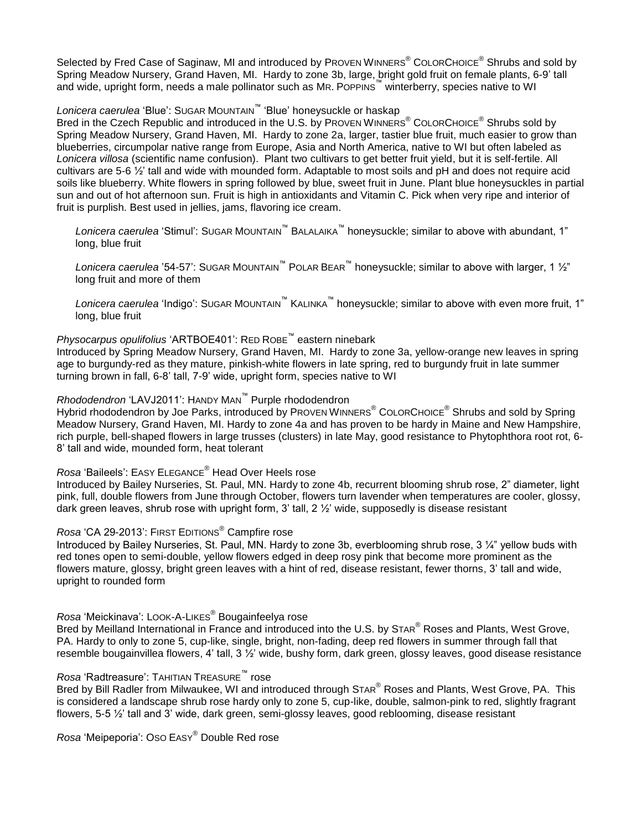Selected by Fred Case of Saginaw, MI and introduced by PROVEN WINNERS® COLORCHOICE® Shrubs and sold by Spring Meadow Nursery, Grand Haven, MI. Hardy to zone 3b, large, bright gold fruit on female plants, 6-9' tall and wide, upright form, needs a male pollinator such as MR. POPPINS™ winterberry, species native to WI

*Lonicera caerulea* 'Blue': SUGAR MOUNTAIN™ 'Blue' honeysuckle or haskap

Bred in the Czech Republic and introduced in the U.S. by PROVEN WINNERS® COLORCHOICE® Shrubs sold by Spring Meadow Nursery, Grand Haven, MI. Hardy to zone 2a, larger, tastier blue fruit, much easier to grow than blueberries, circumpolar native range from Europe, Asia and North America, native to WI but often labeled as *Lonicera villosa* (scientific name confusion). Plant two cultivars to get better fruit yield, but it is self-fertile. All cultivars are 5-6 ½' tall and wide with mounded form. Adaptable to most soils and pH and does not require acid soils like blueberry. White flowers in spring followed by blue, sweet fruit in June. Plant blue honeysuckles in partial sun and out of hot afternoon sun. Fruit is high in antioxidants and Vitamin C. Pick when very ripe and interior of fruit is purplish. Best used in jellies, jams, flavoring ice cream.

*Lonicera caerulea* 'Stimul': SUGAR MOUNTAIN™ BALALAIKA™ honeysuckle; similar to above with abundant, 1" long, blue fruit

*Lonicera caerulea* '54-57': SUGAR MOUNTAIN™ POLAR BEAR™ honeysuckle; similar to above with larger, 1 ½" long fruit and more of them

Lonicera caerulea 'Indigo': S∪GAR MOUNTAIN<sup>™</sup> KALINKA<sup>™</sup> honeysuckle; similar to above with even more fruit, 1" long, blue fruit

## *Physocarpus opulifolius* 'ARTBOE401': RED ROBE™ eastern ninebark

Introduced by Spring Meadow Nursery, Grand Haven, MI. Hardy to zone 3a, yellow-orange new leaves in spring age to burgundy-red as they mature, pinkish-white flowers in late spring, red to burgundy fruit in late summer turning brown in fall, 6-8' tall, 7-9' wide, upright form, species native to WI

## *Rhododendron* 'LAVJ2011': HANDY MAN™ Purple rhododendron

Hybrid rhododendron by Joe Parks, introduced by PROVEN WINNERS® COLORCHOICE® Shrubs and sold by Spring Meadow Nursery, Grand Haven, MI. Hardy to zone 4a and has proven to be hardy in Maine and New Hampshire, rich purple, bell-shaped flowers in large trusses (clusters) in late May, good resistance to Phytophthora root rot, 6- 8' tall and wide, mounded form, heat tolerant

## *Rosa* 'Baileels': EASY ELEGANCE® Head Over Heels rose

Introduced by Bailey Nurseries, St. Paul, MN. Hardy to zone 4b, recurrent blooming shrub rose, 2" diameter, light pink, full, double flowers from June through October, flowers turn lavender when temperatures are cooler, glossy, dark green leaves, shrub rose with upright form, 3' tall,  $2\frac{1}{2}$  wide, supposedly is disease resistant

# *Rosa* 'CA 29-2013': FIRST EDITIONS® Campfire rose

Introduced by Bailey Nurseries, St. Paul, MN. Hardy to zone 3b, everblooming shrub rose, 3 ¼" yellow buds with red tones open to semi-double, yellow flowers edged in deep rosy pink that become more prominent as the flowers mature, glossy, bright green leaves with a hint of red, disease resistant, fewer thorns, 3' tall and wide, upright to rounded form

### *Rosa* 'Meickinava': LOOK-A-LIKES® Bougainfeelya rose

Bred by Meilland International in France and introduced into the U.S. by STAR<sup>®</sup> Roses and Plants, West Grove, PA. Hardy to only to zone 5, cup-like, single, bright, non-fading, deep red flowers in summer through fall that resemble bougainvillea flowers, 4' tall, 3 ½' wide, bushy form, dark green, glossy leaves, good disease resistance

### *Rosa* 'Radtreasure': TAHITIAN TREASURE™ rose

Bred by Bill Radler from Milwaukee, WI and introduced through STAR<sup>®</sup> Roses and Plants, West Grove, PA. This is considered a landscape shrub rose hardy only to zone 5, cup-like, double, salmon-pink to red, slightly fragrant flowers, 5-5 ½' tall and 3' wide, dark green, semi-glossy leaves, good reblooming, disease resistant

*Rosa* 'Meipeporia': OSO EASY® Double Red rose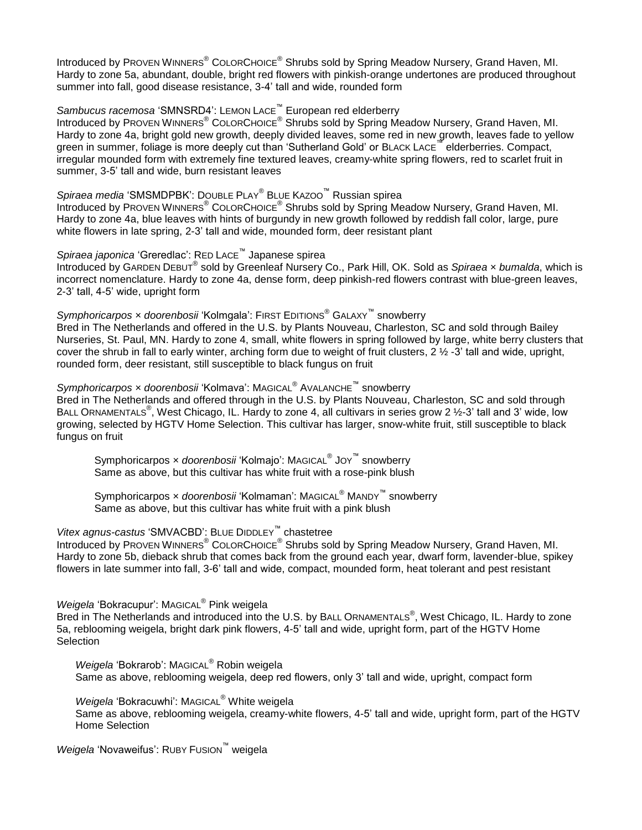Introduced by PROVEN WINNERS® COLORCHOICE® Shrubs sold by Spring Meadow Nursery, Grand Haven, MI. Hardy to zone 5a, abundant, double, bright red flowers with pinkish-orange undertones are produced throughout summer into fall, good disease resistance, 3-4' tall and wide, rounded form

*Sambucus racemosa* 'SMNSRD4': LEMON LACE™ European red elderberry

Introduced by PROVEN WINNERS® COLORCHOICE® Shrubs sold by Spring Meadow Nursery, Grand Haven, MI. Hardy to zone 4a, bright gold new growth, deeply divided leaves, some red in new growth, leaves fade to yellow green in summer, foliage is more deeply cut than 'Sutherland Gold' or BLACK LACE™ elderberries. Compact, irregular mounded form with extremely fine textured leaves, creamy-white spring flowers, red to scarlet fruit in summer, 3-5' tall and wide, burn resistant leaves

*Spiraea media* 'SMSMDPBK': DOUBLE PLAY® BLUE KAZOO™ Russian spirea

Introduced by PROVEN WINNERS® COLORCHOICE® Shrubs sold by Spring Meadow Nursery, Grand Haven, MI. Hardy to zone 4a, blue leaves with hints of burgundy in new growth followed by reddish fall color, large, pure white flowers in late spring, 2-3' tall and wide, mounded form, deer resistant plant

*Spiraea japonica* 'Greredlac': RED LACE™ Japanese spirea

Introduced by GARDEN DEBUT<sup>®</sup> sold by Greenleaf Nursery Co., Park Hill, OK. Sold as *Spiraea x bumalda*, which is incorrect nomenclature. Hardy to zone 4a, dense form, deep pinkish-red flowers contrast with blue-green leaves, 2-3' tall, 4-5' wide, upright form

*Symphoricarpos* × *doorenbosii* 'Kolmgala': FIRST EDITIONS® GALAXY™ snowberry Bred in The Netherlands and offered in the U.S. by Plants Nouveau, Charleston, SC and sold through Bailey Nurseries, St. Paul, MN. Hardy to zone 4, small, white flowers in spring followed by large, white berry clusters that cover the shrub in fall to early winter, arching form due to weight of fruit clusters,  $2 \frac{1}{2}$  -3' tall and wide, upright, rounded form, deer resistant, still susceptible to black fungus on fruit

*Symphoricarpos* × *doorenbosii* 'Kolmava': MAGICAL® AVALANCHE™ snowberry

Bred in The Netherlands and offered through in the U.S. by Plants Nouveau, Charleston, SC and sold through BALL ORNAMENTALS<sup>®</sup>, West Chicago, IL. Hardy to zone 4, all cultivars in series grow 2 ½-3' tall and 3' wide, low growing, selected by HGTV Home Selection. This cultivar has larger, snow-white fruit, still susceptible to black fungus on fruit

Symphoricarpos × *doorenbosii* 'Kolmajo': MAGICAL® JOY™ snowberry Same as above, but this cultivar has white fruit with a rose-pink blush

Symphoricarpos × *doorenbosii* 'Kolmaman': MAGICAL® MANDY™ snowberry Same as above, but this cultivar has white fruit with a pink blush

### *Vitex agnus-castus* 'SMVACBD': BLUE DIDDLEY™ chastetree

Introduced by PROVEN WINNERS® COLORCHOICE® Shrubs sold by Spring Meadow Nursery, Grand Haven, MI. Hardy to zone 5b, dieback shrub that comes back from the ground each year, dwarf form, lavender-blue, spikey flowers in late summer into fall, 3-6' tall and wide, compact, mounded form, heat tolerant and pest resistant

### *Weigela* 'Bokracupur': MAGICAL® Pink weigela

Bred in The Netherlands and introduced into the U.S. by BALL ORNAMENTALS®, West Chicago, IL. Hardy to zone 5a, reblooming weigela, bright dark pink flowers, 4-5' tall and wide, upright form, part of the HGTV Home **Selection** 

*Weigela* 'Bokrarob': MAGICAL® Robin weigela Same as above, reblooming weigela, deep red flowers, only 3' tall and wide, upright, compact form

*Weigela* 'Bokracuwhi': MAGICAL® White weigela

Same as above, reblooming weigela, creamy-white flowers, 4-5' tall and wide, upright form, part of the HGTV Home Selection

*Weigela* 'Novaweifus': RUBY FUSION™ weigela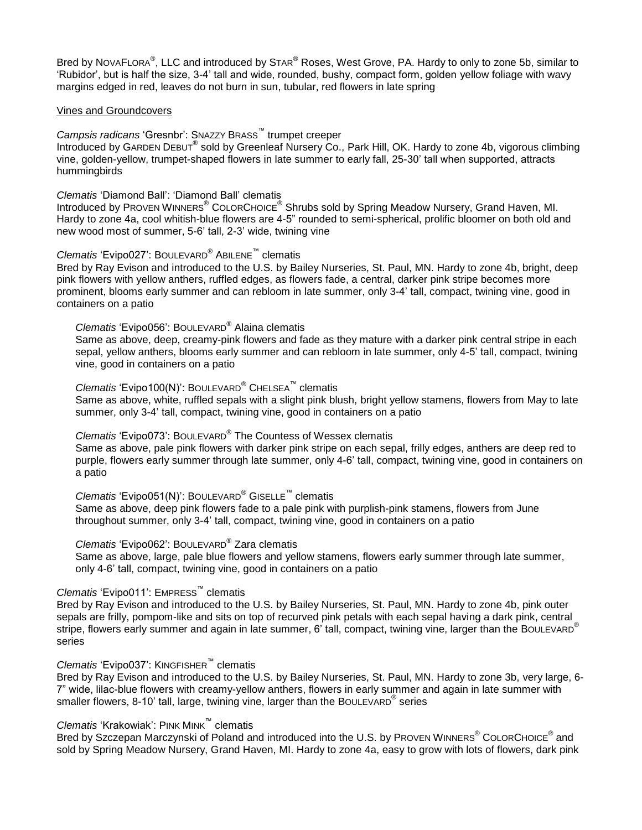Bred by NOVAFLORA $^{\circ\!\!\circ}$ , LLC and introduced by STAR $^{\circ\!\!\circ}$  Roses, West Grove, PA. Hardy to only to zone 5b, similar to 'Rubidor', but is half the size, 3-4' tall and wide, rounded, bushy, compact form, golden yellow foliage with wavy margins edged in red, leaves do not burn in sun, tubular, red flowers in late spring

#### Vines and Groundcovers

*Campsis radicans* 'Gresnbr': SNAZZY BRASS™ trumpet creeper

Introduced by GARDEN DEBUT® sold by Greenleaf Nursery Co., Park Hill, OK. Hardy to zone 4b, vigorous climbing vine, golden-yellow, trumpet-shaped flowers in late summer to early fall, 25-30' tall when supported, attracts hummingbirds

*Clematis* 'Diamond Ball': 'Diamond Ball' clematis

Introduced by PROVEN WINNERS® COLORCHOICE® Shrubs sold by Spring Meadow Nursery, Grand Haven, MI. Hardy to zone 4a, cool whitish-blue flowers are 4-5" rounded to semi-spherical, prolific bloomer on both old and new wood most of summer, 5-6' tall, 2-3' wide, twining vine

### *Clematis* 'Evipo027': BOULEVARD® ABILENE™ clematis

Bred by Ray Evison and introduced to the U.S. by Bailey Nurseries, St. Paul, MN. Hardy to zone 4b, bright, deep pink flowers with yellow anthers, ruffled edges, as flowers fade, a central, darker pink stripe becomes more prominent, blooms early summer and can rebloom in late summer, only 3-4' tall, compact, twining vine, good in containers on a patio

## *Clematis* 'Evipo056': BOULEVARD® Alaina clematis

Same as above, deep, creamy-pink flowers and fade as they mature with a darker pink central stripe in each sepal, yellow anthers, blooms early summer and can rebloom in late summer, only 4-5' tall, compact, twining vine, good in containers on a patio

*Clematis* 'Evipo100(N)': BOULEVARD® CHELSEA™ clematis Same as above, white, ruffled sepals with a slight pink blush, bright yellow stamens, flowers from May to late summer, only 3-4' tall, compact, twining vine, good in containers on a patio

# *Clematis* 'Evipo073': BOULEVARD® The Countess of Wessex clematis

Same as above, pale pink flowers with darker pink stripe on each sepal, frilly edges, anthers are deep red to purple, flowers early summer through late summer, only 4-6' tall, compact, twining vine, good in containers on a patio

## *Clematis* 'Evipo051(N)': BOULEVARD® GISELLE™ clematis

Same as above, deep pink flowers fade to a pale pink with purplish-pink stamens, flowers from June throughout summer, only 3-4' tall, compact, twining vine, good in containers on a patio

## *Clematis* 'Evipo062': BOULEVARD® Zara clematis

Same as above, large, pale blue flowers and yellow stamens, flowers early summer through late summer, only 4-6' tall, compact, twining vine, good in containers on a patio

## *Clematis* 'Evipo011': EMPRESS™ clematis

Bred by Ray Evison and introduced to the U.S. by Bailey Nurseries, St. Paul, MN. Hardy to zone 4b, pink outer sepals are frilly, pompom-like and sits on top of recurved pink petals with each sepal having a dark pink, central stripe, flowers early summer and again in late summer, 6' tall, compact, twining vine, larger than the BOULEVARD® series

## *Clematis* 'Evipo037': KINGFISHER™ clematis

Bred by Ray Evison and introduced to the U.S. by Bailey Nurseries, St. Paul, MN. Hardy to zone 3b, very large, 6- 7" wide, lilac-blue flowers with creamy-yellow anthers, flowers in early summer and again in late summer with smaller flowers, 8-10' tall, large, twining vine, larger than the BOULEVARD® series

### *Clematis* 'Krakowiak': PINK MINK™ clematis

Bred by Szczepan Marczynski of Poland and introduced into the U.S. by PROVEN WINNERS $^{\circledast}$  COLORCHOICE $^{\circledast}$  and sold by Spring Meadow Nursery, Grand Haven, MI. Hardy to zone 4a, easy to grow with lots of flowers, dark pink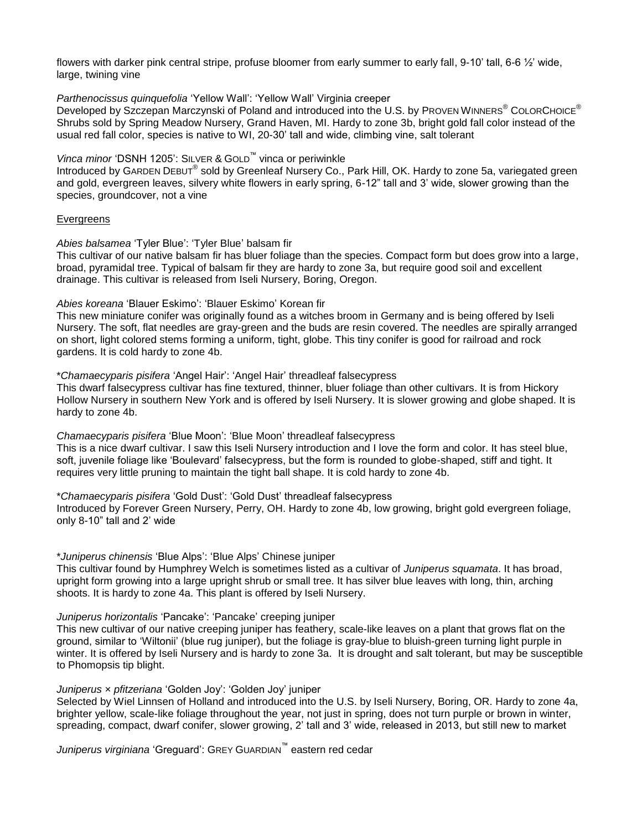flowers with darker pink central stripe, profuse bloomer from early summer to early fall, 9-10' tall, 6-6 ½' wide, large, twining vine

### *Parthenocissus quinquefolia* 'Yellow Wall': 'Yellow Wall' Virginia creeper

Developed by Szczepan Marczynski of Poland and introduced into the U.S. by PROVEN WINNERS<sup>®</sup> COLORCHOICE<sup>®</sup> Shrubs sold by Spring Meadow Nursery, Grand Haven, MI. Hardy to zone 3b, bright gold fall color instead of the usual red fall color, species is native to WI, 20-30' tall and wide, climbing vine, salt tolerant

*Vinca minor* 'DSNH 1205': SILVER & GOLD™ vinca or periwinkle

Introduced by GARDEN DEBUT® sold by Greenleaf Nursery Co., Park Hill, OK. Hardy to zone 5a, variegated green and gold, evergreen leaves, silvery white flowers in early spring, 6-12" tall and 3' wide, slower growing than the species, groundcover, not a vine

#### **Evergreens**

*Abies balsamea* 'Tyler Blue': 'Tyler Blue' balsam fir

This cultivar of our native balsam fir has bluer foliage than the species. Compact form but does grow into a large, broad, pyramidal tree. Typical of balsam fir they are hardy to zone 3a, but require good soil and excellent drainage. This cultivar is released from Iseli Nursery, Boring, Oregon.

*Abies koreana* 'Blauer Eskimo': 'Blauer Eskimo' Korean fir

This new miniature conifer was originally found as a witches broom in Germany and is being offered by Iseli Nursery. The soft, flat needles are gray-green and the buds are resin covered. The needles are spirally arranged on short, light colored stems forming a uniform, tight, globe. This tiny conifer is good for railroad and rock gardens. It is cold hardy to zone 4b.

\**Chamaecyparis pisifera* 'Angel Hair': 'Angel Hair' threadleaf falsecypress

This dwarf falsecypress cultivar has fine textured, thinner, bluer foliage than other cultivars. It is from Hickory Hollow Nursery in southern New York and is offered by Iseli Nursery. It is slower growing and globe shaped. It is hardy to zone 4b.

*Chamaecyparis pisifera* 'Blue Moon': 'Blue Moon' threadleaf falsecypress This is a nice dwarf cultivar. I saw this Iseli Nursery introduction and I love the form and color. It has steel blue, soft, juvenile foliage like 'Boulevard' falsecypress, but the form is rounded to globe-shaped, stiff and tight. It requires very little pruning to maintain the tight ball shape. It is cold hardy to zone 4b.

\**Chamaecyparis pisifera* 'Gold Dust': 'Gold Dust' threadleaf falsecypress Introduced by Forever Green Nursery, Perry, OH. Hardy to zone 4b, low growing, bright gold evergreen foliage, only 8-10" tall and 2' wide

\**Juniperus chinensis* 'Blue Alps': 'Blue Alps' Chinese juniper

This cultivar found by Humphrey Welch is sometimes listed as a cultivar of *Juniperus squamata*. It has broad, upright form growing into a large upright shrub or small tree. It has silver blue leaves with long, thin, arching shoots. It is hardy to zone 4a. This plant is offered by Iseli Nursery.

*Juniperus horizontalis* 'Pancake': 'Pancake' creeping juniper

This new cultivar of our native creeping juniper has feathery, scale-like leaves on a plant that grows flat on the ground, similar to 'Wiltonii' (blue rug juniper), but the foliage is gray-blue to bluish-green turning light purple in winter. It is offered by Iseli Nursery and is hardy to zone 3a. It is drought and salt tolerant, but may be susceptible to Phomopsis tip blight.

*Juniperus* × *pfitzeriana* 'Golden Joy': 'Golden Joy' juniper

Selected by Wiel Linnsen of Holland and introduced into the U.S. by Iseli Nursery, Boring, OR. Hardy to zone 4a, brighter yellow, scale-like foliage throughout the year, not just in spring, does not turn purple or brown in winter, spreading, compact, dwarf conifer, slower growing, 2' tall and 3' wide, released in 2013, but still new to market

*Juniperus virginiana* 'Greguard': GREY GUARDIAN™ eastern red cedar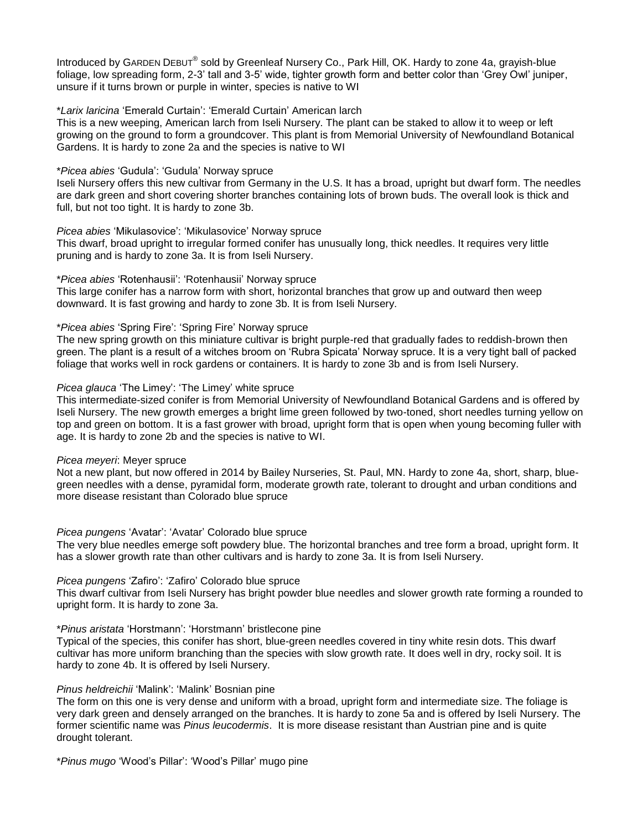Introduced by GARDEN DEBUT $^\circ$  sold by Greenleaf Nursery Co., Park Hill, OK. Hardy to zone 4a, grayish-blue foliage, low spreading form, 2-3' tall and 3-5' wide, tighter growth form and better color than 'Grey Owl' juniper, unsure if it turns brown or purple in winter, species is native to WI

\**Larix laricina* 'Emerald Curtain': 'Emerald Curtain' American larch

This is a new weeping, American larch from Iseli Nursery. The plant can be staked to allow it to weep or left growing on the ground to form a groundcover. This plant is from Memorial University of Newfoundland Botanical Gardens. It is hardy to zone 2a and the species is native to WI

#### \**Picea abies* 'Gudula': 'Gudula' Norway spruce

Iseli Nursery offers this new cultivar from Germany in the U.S. It has a broad, upright but dwarf form. The needles are dark green and short covering shorter branches containing lots of brown buds. The overall look is thick and full, but not too tight. It is hardy to zone 3b.

### *Picea abies* 'Mikulasovice': 'Mikulasovice' Norway spruce

This dwarf, broad upright to irregular formed conifer has unusually long, thick needles. It requires very little pruning and is hardy to zone 3a. It is from Iseli Nursery.

\**Picea abies* 'Rotenhausii': 'Rotenhausii' Norway spruce This large conifer has a narrow form with short, horizontal branches that grow up and outward then weep downward. It is fast growing and hardy to zone 3b. It is from Iseli Nursery.

\**Picea abies* 'Spring Fire': 'Spring Fire' Norway spruce

The new spring growth on this miniature cultivar is bright purple-red that gradually fades to reddish-brown then green. The plant is a result of a witches broom on 'Rubra Spicata' Norway spruce. It is a very tight ball of packed foliage that works well in rock gardens or containers. It is hardy to zone 3b and is from Iseli Nursery.

#### *Picea glauca* 'The Limey': 'The Limey' white spruce

This intermediate-sized conifer is from Memorial University of Newfoundland Botanical Gardens and is offered by Iseli Nursery. The new growth emerges a bright lime green followed by two-toned, short needles turning yellow on top and green on bottom. It is a fast grower with broad, upright form that is open when young becoming fuller with age. It is hardy to zone 2b and the species is native to WI.

### *Picea meyeri*: Meyer spruce

Not a new plant, but now offered in 2014 by Bailey Nurseries, St. Paul, MN. Hardy to zone 4a, short, sharp, bluegreen needles with a dense, pyramidal form, moderate growth rate, tolerant to drought and urban conditions and more disease resistant than Colorado blue spruce

### *Picea pungens* 'Avatar': 'Avatar' Colorado blue spruce

The very blue needles emerge soft powdery blue. The horizontal branches and tree form a broad, upright form. It has a slower growth rate than other cultivars and is hardy to zone 3a. It is from Iseli Nursery.

#### *Picea pungens* 'Zafiro': 'Zafiro' Colorado blue spruce

This dwarf cultivar from Iseli Nursery has bright powder blue needles and slower growth rate forming a rounded to upright form. It is hardy to zone 3a.

#### \**Pinus aristata* 'Horstmann': 'Horstmann' bristlecone pine

Typical of the species, this conifer has short, blue-green needles covered in tiny white resin dots. This dwarf cultivar has more uniform branching than the species with slow growth rate. It does well in dry, rocky soil. It is hardy to zone 4b. It is offered by Iseli Nursery.

#### *Pinus heldreichii* 'Malink': 'Malink' Bosnian pine

The form on this one is very dense and uniform with a broad, upright form and intermediate size. The foliage is very dark green and densely arranged on the branches. It is hardy to zone 5a and is offered by Iseli Nursery. The former scientific name was *Pinus leucodermis*. It is more disease resistant than Austrian pine and is quite drought tolerant.

\**Pinus mugo* 'Wood's Pillar': 'Wood's Pillar' mugo pine